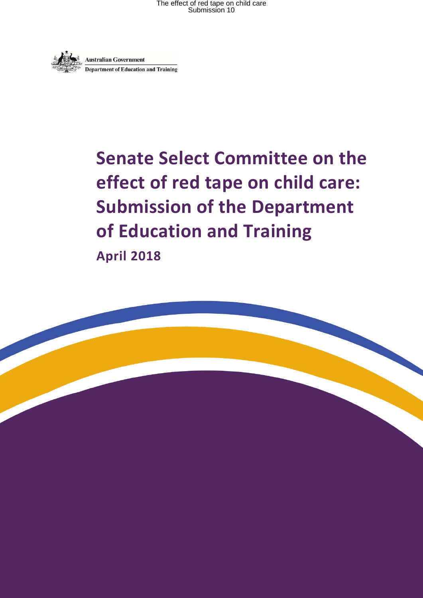

# **Senate Select Committee on the effect of red tape on child care: Submission of the Department of Education and Training April 2018**

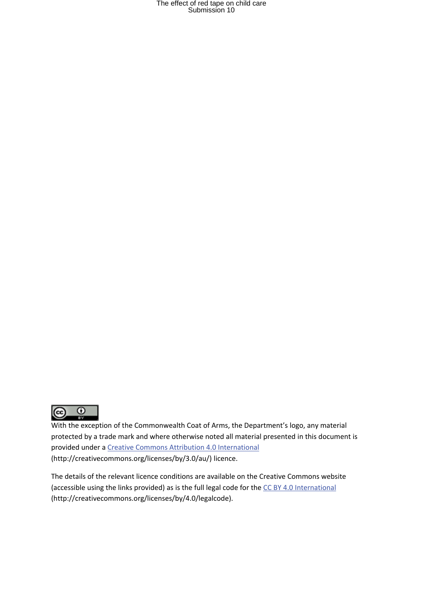

With the exception of the Commonwealth Coat of Arms, the Department's logo, any material protected by a trade mark and where otherwise noted all material presented in this document is provided under a Creative Commons Attribution 4.0 [International](http://dnet.hosts.network/education/Resources/Documents/Creative%20Commons%20Attribution%204.0%20International) (http://creativecommons.org/licenses/by/3.0/au/) licence.

The details of the relevant licence conditions are available on the Creative Commons website (accessible using the links provided) as is the full legal code for the CC BY 4.0 [International](http://dnet.hosts.network/education/Resources/Documents/CC%20BY%204.0%20International) (http://creativecommons.org/licenses/by/4.0/legalcode).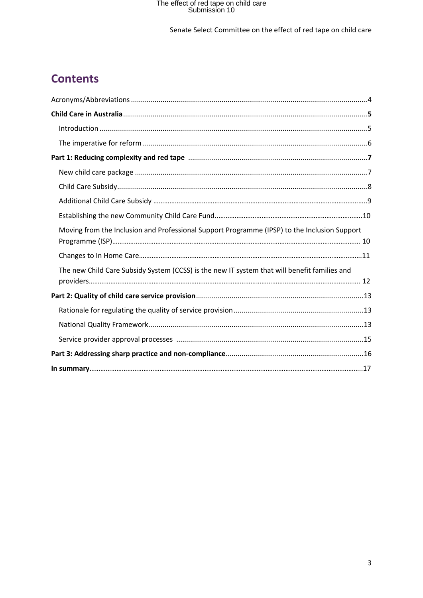#### Senate Select Committee on the effect of red tape on child care

# **Contents**

| Moving from the Inclusion and Professional Support Programme (IPSP) to the Inclusion Support |
|----------------------------------------------------------------------------------------------|
|                                                                                              |
| The new Child Care Subsidy System (CCSS) is the new IT system that will benefit families and |
|                                                                                              |
|                                                                                              |
|                                                                                              |
|                                                                                              |
|                                                                                              |
|                                                                                              |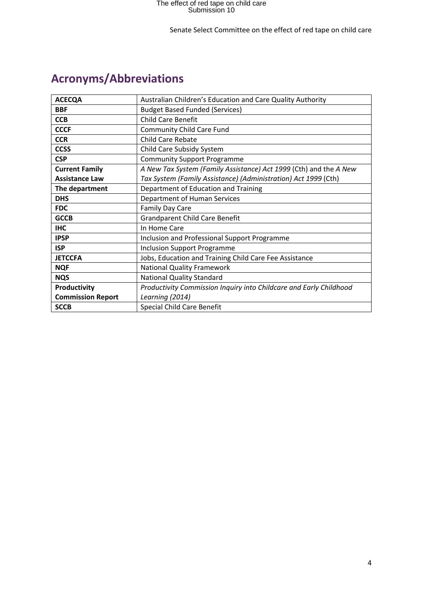# **Acronyms/Abbreviations**

| <b>ACECQA</b>            | Australian Children's Education and Care Quality Authority         |  |  |
|--------------------------|--------------------------------------------------------------------|--|--|
| <b>BBF</b>               | <b>Budget Based Funded (Services)</b>                              |  |  |
| <b>CCB</b>               | <b>Child Care Benefit</b>                                          |  |  |
| <b>CCCF</b>              | <b>Community Child Care Fund</b>                                   |  |  |
| <b>CCR</b>               | Child Care Rebate                                                  |  |  |
| <b>CCSS</b>              | Child Care Subsidy System                                          |  |  |
| <b>CSP</b>               | <b>Community Support Programme</b>                                 |  |  |
| <b>Current Family</b>    | A New Tax System (Family Assistance) Act 1999 (Cth) and the A New  |  |  |
| <b>Assistance Law</b>    | Tax System (Family Assistance) (Administration) Act 1999 (Cth)     |  |  |
| The department           | Department of Education and Training                               |  |  |
| <b>DHS</b>               | Department of Human Services                                       |  |  |
| <b>FDC</b>               | <b>Family Day Care</b>                                             |  |  |
| <b>GCCB</b>              | <b>Grandparent Child Care Benefit</b>                              |  |  |
| <b>IHC</b>               | In Home Care                                                       |  |  |
| <b>IPSP</b>              | Inclusion and Professional Support Programme                       |  |  |
| <b>ISP</b>               | <b>Inclusion Support Programme</b>                                 |  |  |
| <b>JETCCFA</b>           | Jobs, Education and Training Child Care Fee Assistance             |  |  |
| <b>NQF</b>               | <b>National Quality Framework</b>                                  |  |  |
| <b>NQS</b>               | <b>National Quality Standard</b>                                   |  |  |
| Productivity             | Productivity Commission Inquiry into Childcare and Early Childhood |  |  |
| <b>Commission Report</b> | Learning (2014)                                                    |  |  |
| <b>SCCB</b>              | <b>Special Child Care Benefit</b>                                  |  |  |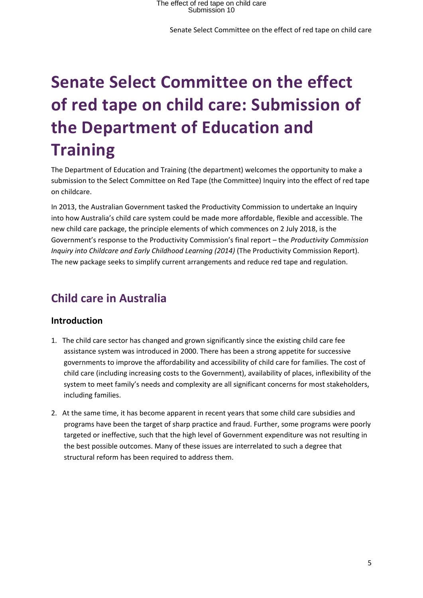# **Senate Select Committee on the effect of red tape on child care: Submission of the Department of Education and Training**

The Department of Education and Training (the department) welcomes the opportunity to make a submission to the Select Committee on Red Tape (the Committee) Inquiry into the effect of red tape on childcare.

In 2013, the Australian Government tasked the Productivity Commission to undertake an Inquiry into how Australia's child care system could be made more affordable, flexible and accessible. The new child care package, the principle elements of which commences on 2 July 2018, is the Government's response to the Productivity Commission's final report – the *Productivity Commission Inquiry into Childcare and Early Childhood Learning (2014)* (The Productivity Commission Report). The new package seeks to simplify current arrangements and reduce red tape and regulation.

# **Child care in Australia**

#### **Introduction**

- 1. The child care sector has changed and grown significantly since the existing child care fee assistance system was introduced in 2000. There has been a strong appetite for successive governments to improve the affordability and accessibility of child care for families. The cost of child care (including increasing costs to the Government), availability of places, inflexibility of the system to meet family's needs and complexity are all significant concerns for most stakeholders, including families.
- 2. At the same time, it has become apparent in recent years that some child care subsidies and programs have been the target of sharp practice and fraud. Further, some programs were poorly targeted or ineffective, such that the high level of Government expenditure was not resulting in the best possible outcomes. Many of these issues are interrelated to such a degree that structural reform has been required to address them.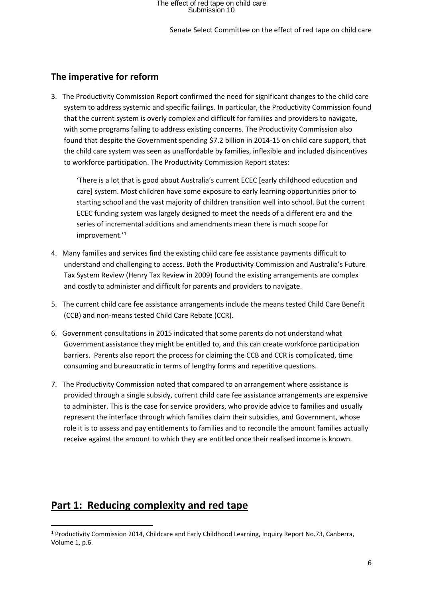### **The imperative for reform**

3. The Productivity Commission Report confirmed the need for significant changes to the child care system to address systemic and specific failings. In particular, the Productivity Commission found that the current system is overly complex and difficult for families and providers to navigate, with some programs failing to address existing concerns. The Productivity Commission also found that despite the Government spending \$7.2 billion in 2014-15 on child care support, that the child care system was seen as unaffordable by families, inflexible and included disincentives to workforce participation. The Productivity Commission Report states:

'There is a lot that is good about Australia's current ECEC [early childhood education and care] system. Most children have some exposure to early learning opportunities prior to starting school and the vast majority of children transition well into school. But the current ECEC funding system was largely designed to meet the needs of a different era and the series of incremental additions and amendments mean there is much scope for improvement.'<sup>1</sup>

- 4. Many families and services find the existing child care fee assistance payments difficult to understand and challenging to access. Both the Productivity Commission and Australia's Future Tax System Review (Henry Tax Review in 2009) found the existing arrangements are complex and costly to administer and difficult for parents and providers to navigate.
- 5. The current child care fee assistance arrangements include the means tested Child Care Benefit (CCB) and non-means tested Child Care Rebate (CCR).
- 6. Government consultations in 2015 indicated that some parents do not understand what Government assistance they might be entitled to, and this can create workforce participation barriers. Parents also report the process for claiming the CCB and CCR is complicated, time consuming and bureaucratic in terms of lengthy forms and repetitive questions.
- 7. The Productivity Commission noted that compared to an arrangement where assistance is provided through a single subsidy, current child care fee assistance arrangements are expensive to administer. This is the case for service providers, who provide advice to families and usually represent the interface through which families claim their subsidies, and Government, whose role it is to assess and pay entitlements to families and to reconcile the amount families actually receive against the amount to which they are entitled once their realised income is known.

### **Part 1: Reducing complexity and red tape**

<sup>1</sup> Productivity Commission 2014, Childcare and Early Childhood Learning, Inquiry Report No.73, Canberra, Volume 1, p.6.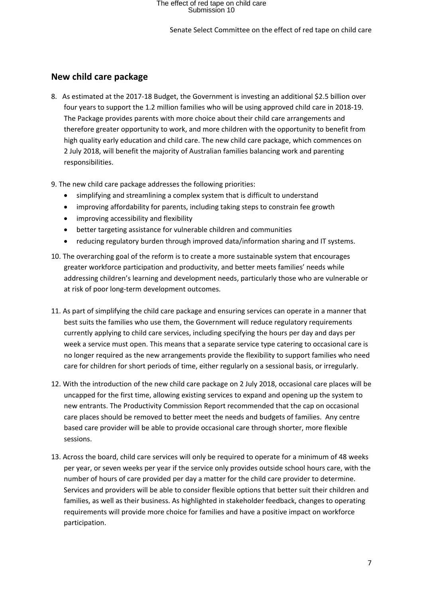Senate Select Committee on the effect of red tape on child care

#### **New child care package**

- 8. As estimated at the 2017-18 Budget, the Government is investing an additional \$2.5 billion over four years to support the 1.2 million families who will be using approved child care in 2018-19. The Package provides parents with more choice about their child care arrangements and therefore greater opportunity to work, and more children with the opportunity to benefit from high quality early education and child care. The new child care package, which commences on 2 July 2018, will benefit the majority of Australian families balancing work and parenting responsibilities.
- 9. The new child care package addresses the following priorities:
	- simplifying and streamlining a complex system that is difficult to understand
	- improving affordability for parents, including taking steps to constrain fee growth
	- improving accessibility and flexibility
	- better targeting assistance for vulnerable children and communities
	- reducing regulatory burden through improved data/information sharing and IT systems.
- 10. The overarching goal of the reform is to create a more sustainable system that encourages greater workforce participation and productivity, and better meets families' needs while addressing children's learning and development needs, particularly those who are vulnerable or at risk of poor long-term development outcomes.
- 11. As part of simplifying the child care package and ensuring services can operate in a manner that best suits the families who use them, the Government will reduce regulatory requirements currently applying to child care services, including specifying the hours per day and days per week a service must open. This means that a separate service type catering to occasional care is no longer required as the new arrangements provide the flexibility to support families who need care for children for short periods of time, either regularly on a sessional basis, or irregularly.
- 12. With the introduction of the new child care package on 2 July 2018, occasional care places will be uncapped for the first time, allowing existing services to expand and opening up the system to new entrants. The Productivity Commission Report recommended that the cap on occasional care places should be removed to better meet the needs and budgets of families. Any centre based care provider will be able to provide occasional care through shorter, more flexible sessions.
- 13. Across the board, child care services will only be required to operate for a minimum of 48 weeks per year, or seven weeks per year if the service only provides outside school hours care, with the number of hours of care provided per day a matter for the child care provider to determine. Services and providers will be able to consider flexible options that better suit their children and families, as well as their business. As highlighted in stakeholder feedback, changes to operating requirements will provide more choice for families and have a positive impact on workforce participation.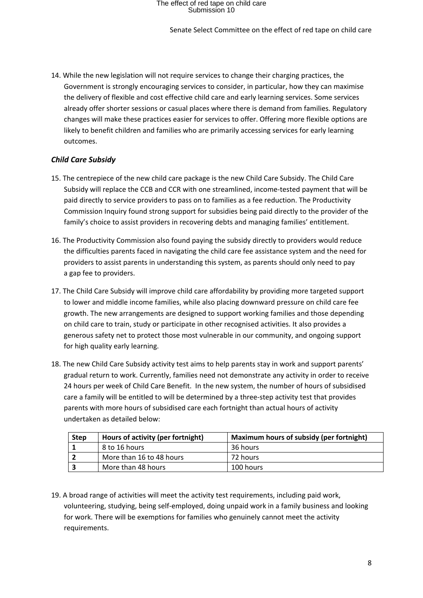Senate Select Committee on the effect of red tape on child care

14. While the new legislation will not require services to change their charging practices, the Government is strongly encouraging services to consider, in particular, how they can maximise the delivery of flexible and cost effective child care and early learning services. Some services already offer shorter sessions or casual places where there is demand from families. Regulatory changes will make these practices easier for services to offer. Offering more flexible options are likely to benefit children and families who are primarily accessing services for early learning outcomes.

#### *Child Care Subsidy*

- 15. The centrepiece of the new child care package is the new Child Care Subsidy. The Child Care Subsidy will replace the CCB and CCR with one streamlined, income-tested payment that will be paid directly to service providers to pass on to families as a fee reduction. The Productivity Commission Inquiry found strong support for subsidies being paid directly to the provider of the family's choice to assist providers in recovering debts and managing families' entitlement.
- 16. The Productivity Commission also found paying the subsidy directly to providers would reduce the difficulties parents faced in navigating the child care fee assistance system and the need for providers to assist parents in understanding this system, as parents should only need to pay a gap fee to providers.
- 17. The Child Care Subsidy will improve child care affordability by providing more targeted support to lower and middle income families, while also placing downward pressure on child care fee growth. The new arrangements are designed to support working families and those depending on child care to train, study or participate in other recognised activities. It also provides a generous safety net to protect those most vulnerable in our community, and ongoing support for high quality early learning.
- 18. The new Child Care Subsidy activity test aims to help parents stay in work and support parents' gradual return to work. Currently, families need not demonstrate any activity in order to receive 24 hours per week of Child Care Benefit. In the new system, the number of hours of subsidised care a family will be entitled to will be determined by a three-step activity test that provides parents with more hours of subsidised care each fortnight than actual hours of activity undertaken as detailed below:

| <b>Step</b> | Hours of activity (per fortnight) | Maximum hours of subsidy (per fortnight) |
|-------------|-----------------------------------|------------------------------------------|
|             | 8 to 16 hours                     | 36 hours                                 |
|             | More than 16 to 48 hours          | 72 hours                                 |
| Э           | More than 48 hours                | 100 hours                                |

19. A broad range of activities will meet the activity test requirements, including paid work, volunteering, studying, being self-employed, doing unpaid work in a family business and looking for work. There will be exemptions for families who genuinely cannot meet the activity requirements.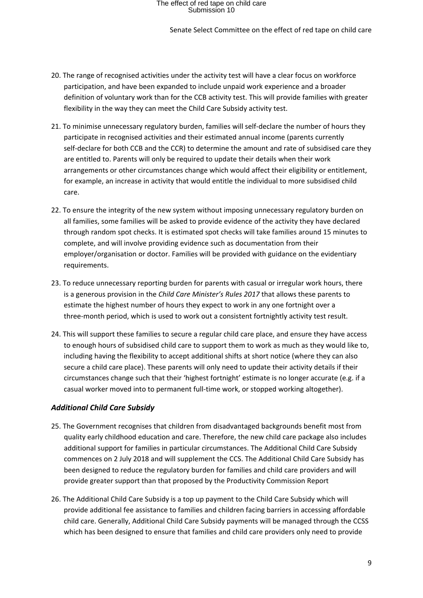Senate Select Committee on the effect of red tape on child care

- 20. The range of recognised activities under the activity test will have a clear focus on workforce participation, and have been expanded to include unpaid work experience and a broader definition of voluntary work than for the CCB activity test. This will provide families with greater flexibility in the way they can meet the Child Care Subsidy activity test.
- 21. To minimise unnecessary regulatory burden, families will self-declare the number of hours they participate in recognised activities and their estimated annual income (parents currently self-declare for both CCB and the CCR) to determine the amount and rate of subsidised care they are entitled to. Parents will only be required to update their details when their work arrangements or other circumstances change which would affect their eligibility or entitlement, for example, an increase in activity that would entitle the individual to more subsidised child care.
- 22. To ensure the integrity of the new system without imposing unnecessary regulatory burden on all families, some families will be asked to provide evidence of the activity they have declared through random spot checks. It is estimated spot checks will take families around 15 minutes to complete, and will involve providing evidence such as documentation from their employer/organisation or doctor. Families will be provided with guidance on the evidentiary requirements.
- 23. To reduce unnecessary reporting burden for parents with casual or irregular work hours, there is a generous provision in the *Child Care Minister's Rules 2017* that allows these parents to estimate the highest number of hours they expect to work in any one fortnight over a three-month period, which is used to work out a consistent fortnightly activity test result.
- 24. This will support these families to secure a regular child care place, and ensure they have access to enough hours of subsidised child care to support them to work as much as they would like to, including having the flexibility to accept additional shifts at short notice (where they can also secure a child care place). These parents will only need to update their activity details if their circumstances change such that their 'highest fortnight' estimate is no longer accurate (e.g. if a casual worker moved into to permanent full-time work, or stopped working altogether).

#### *Additional Child Care Subsidy*

- 25. The Government recognises that children from disadvantaged backgrounds benefit most from quality early childhood education and care. Therefore, the new child care package also includes additional support for families in particular circumstances. The Additional Child Care Subsidy commences on 2 July 2018 and will supplement the CCS. The Additional Child Care Subsidy has been designed to reduce the regulatory burden for families and child care providers and will provide greater support than that proposed by the Productivity Commission Report
- 26. The Additional Child Care Subsidy is a top up payment to the Child Care Subsidy which will provide additional fee assistance to families and children facing barriers in accessing affordable child care. Generally, Additional Child Care Subsidy payments will be managed through the CCSS which has been designed to ensure that families and child care providers only need to provide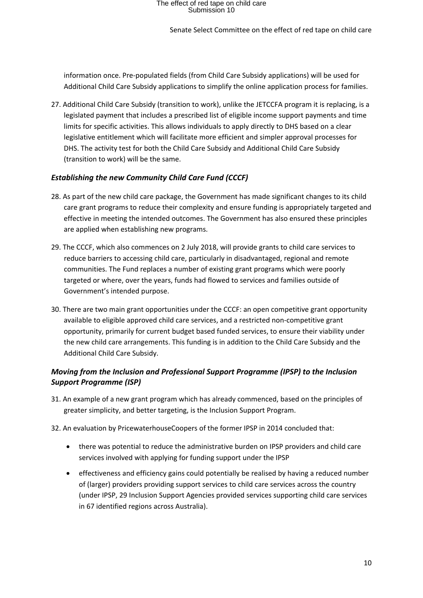Senate Select Committee on the effect of red tape on child care

information once. Pre-populated fields (from Child Care Subsidy applications) will be used for Additional Child Care Subsidy applications to simplify the online application process for families.

27. Additional Child Care Subsidy (transition to work), unlike the JETCCFA program it is replacing, is a legislated payment that includes a prescribed list of eligible income support payments and time limits for specific activities. This allows individuals to apply directly to DHS based on a clear legislative entitlement which will facilitate more efficient and simpler approval processes for DHS. The activity test for both the Child Care Subsidy and Additional Child Care Subsidy (transition to work) will be the same.

#### *Establishing the new Community Child Care Fund (CCCF)*

- 28. As part of the new child care package, the Government has made significant changes to its child care grant programs to reduce their complexity and ensure funding is appropriately targeted and effective in meeting the intended outcomes. The Government has also ensured these principles are applied when establishing new programs.
- 29. The CCCF, which also commences on 2 July 2018, will provide grants to child care services to reduce barriers to accessing child care, particularly in disadvantaged, regional and remote communities. The Fund replaces a number of existing grant programs which were poorly targeted or where, over the years, funds had flowed to services and families outside of Government's intended purpose.
- 30. There are two main grant opportunities under the CCCF: an open competitive grant opportunity available to eligible approved child care services, and a restricted non-competitive grant opportunity, primarily for current budget based funded services, to ensure their viability under the new child care arrangements. This funding is in addition to the Child Care Subsidy and the Additional Child Care Subsidy.

#### *Moving from the Inclusion and Professional Support Programme (IPSP) to the Inclusion Support Programme (ISP)*

- 31. An example of a new grant program which has already commenced, based on the principles of greater simplicity, and better targeting, is the Inclusion Support Program.
- 32. An evaluation by PricewaterhouseCoopers of the former IPSP in 2014 concluded that:
	- there was potential to reduce the administrative burden on IPSP providers and child care services involved with applying for funding support under the IPSP
	- effectiveness and efficiency gains could potentially be realised by having a reduced number of (larger) providers providing support services to child care services across the country (under IPSP, 29 Inclusion Support Agencies provided services supporting child care services in 67 identified regions across Australia).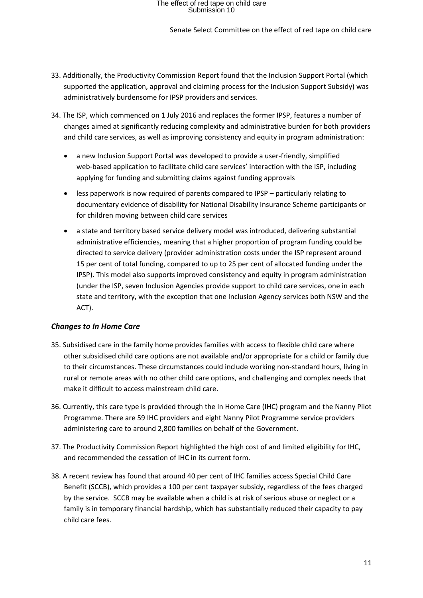#### Senate Select Committee on the effect of red tape on child care

- 33. Additionally, the Productivity Commission Report found that the Inclusion Support Portal (which supported the application, approval and claiming process for the Inclusion Support Subsidy) was administratively burdensome for IPSP providers and services.
- 34. The ISP, which commenced on 1 July 2016 and replaces the former IPSP, features a number of changes aimed at significantly reducing complexity and administrative burden for both providers and child care services, as well as improving consistency and equity in program administration:
	- a new Inclusion Support Portal was developed to provide a user-friendly, simplified web-based application to facilitate child care services' interaction with the ISP, including applying for funding and submitting claims against funding approvals
	- less paperwork is now required of parents compared to IPSP particularly relating to documentary evidence of disability for National Disability Insurance Scheme participants or for children moving between child care services
	- a state and territory based service delivery model was introduced, delivering substantial administrative efficiencies, meaning that a higher proportion of program funding could be directed to service delivery (provider administration costs under the ISP represent around 15 per cent of total funding, compared to up to 25 per cent of allocated funding under the IPSP). This model also supports improved consistency and equity in program administration (under the ISP, seven Inclusion Agencies provide support to child care services, one in each state and territory, with the exception that one Inclusion Agency services both NSW and the ACT).

#### *Changes to In Home Care*

- 35. Subsidised care in the family home provides families with access to flexible child care where other subsidised child care options are not available and/or appropriate for a child or family due to their circumstances. These circumstances could include working non-standard hours, living in rural or remote areas with no other child care options, and challenging and complex needs that make it difficult to access mainstream child care.
- 36. Currently, this care type is provided through the In Home Care (IHC) program and the Nanny Pilot Programme. There are 59 IHC providers and eight Nanny Pilot Programme service providers administering care to around 2,800 families on behalf of the Government.
- 37. The Productivity Commission Report highlighted the high cost of and limited eligibility for IHC, and recommended the cessation of IHC in its current form.
- 38. A recent review has found that around 40 per cent of IHC families access Special Child Care Benefit (SCCB), which provides a 100 per cent taxpayer subsidy, regardless of the fees charged by the service. SCCB may be available when a child is at risk of serious abuse or neglect or a family is in temporary financial hardship, which has substantially reduced their capacity to pay child care fees.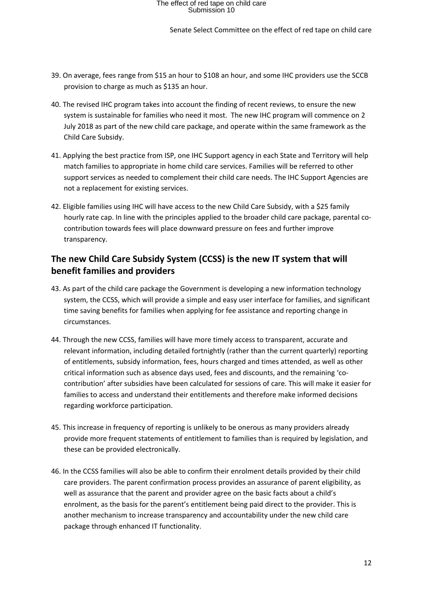Senate Select Committee on the effect of red tape on child care

- 39. On average, fees range from \$15 an hour to \$108 an hour, and some IHC providers use the SCCB provision to charge as much as \$135 an hour.
- 40. The revised IHC program takes into account the finding of recent reviews, to ensure the new system is sustainable for families who need it most. The new IHC program will commence on 2 July 2018 as part of the new child care package, and operate within the same framework as the Child Care Subsidy.
- 41. Applying the best practice from ISP, one IHC Support agency in each State and Territory will help match families to appropriate in home child care services. Families will be referred to other support services as needed to complement their child care needs. The IHC Support Agencies are not a replacement for existing services.
- 42. Eligible families using IHC will have access to the new Child Care Subsidy, with a \$25 family hourly rate cap. In line with the principles applied to the broader child care package, parental cocontribution towards fees will place downward pressure on fees and further improve transparency.

### **The new Child Care Subsidy System (CCSS) is the new IT system that will benefit families and providers**

- 43. As part of the child care package the Government is developing a new information technology system, the CCSS, which will provide a simple and easy user interface for families, and significant time saving benefits for families when applying for fee assistance and reporting change in circumstances.
- 44. Through the new CCSS, families will have more timely access to transparent, accurate and relevant information, including detailed fortnightly (rather than the current quarterly) reporting of entitlements, subsidy information, fees, hours charged and times attended, as well as other critical information such as absence days used, fees and discounts, and the remaining 'cocontribution' after subsidies have been calculated for sessions of care. This will make it easier for families to access and understand their entitlements and therefore make informed decisions regarding workforce participation.
- 45. This increase in frequency of reporting is unlikely to be onerous as many providers already provide more frequent statements of entitlement to families than is required by legislation, and these can be provided electronically.
- 46. In the CCSS families will also be able to confirm their enrolment details provided by their child care providers. The parent confirmation process provides an assurance of parent eligibility, as well as assurance that the parent and provider agree on the basic facts about a child's enrolment, as the basis for the parent's entitlement being paid direct to the provider. This is another mechanism to increase transparency and accountability under the new child care package through enhanced IT functionality.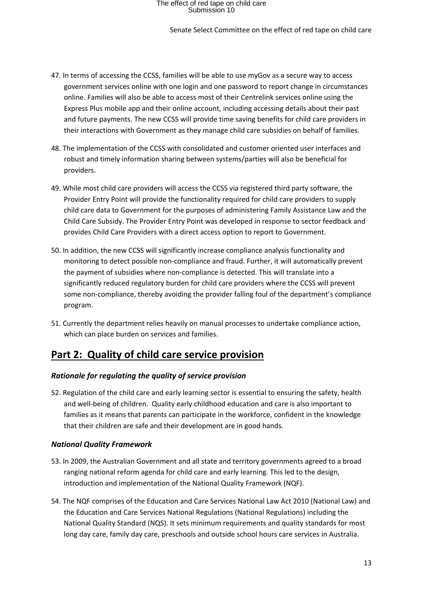#### Senate Select Committee on the effect of red tape on child care

- 47. In terms of accessing the CCSS, families will be able to use myGov as a secure way to access government services online with one login and one password to report change in circumstances online. Families will also be able to access most of their Centrelink services online using the Express Plus mobile app and their online account, including accessing details about their past and future payments. The new CCSS will provide time saving benefits for child care providers in their interactions with Government as they manage child care subsidies on behalf of families.
- 48. The implementation of the CCSS with consolidated and customer oriented user interfaces and robust and timely information sharing between systems/parties will also be beneficial for providers.
- 49. While most child care providers will access the CCSS via registered third party software, the Provider Entry Point will provide the functionality required for child care providers to supply child care data to Government for the purposes of administering Family Assistance Law and the Child Care Subsidy. The Provider Entry Point was developed in response to sector feedback and provides Child Care Providers with a direct access option to report to Government.
- 50. In addition, the new CCSS will significantly increase compliance analysis functionality and monitoring to detect possible non-compliance and fraud. Further, it will automatically prevent the payment of subsidies where non-compliance is detected. This will translate into a significantly reduced regulatory burden for child care providers where the CCSS will prevent some non-compliance, thereby avoiding the provider falling foul of the department's compliance program.
- 51. Currently the department relies heavily on manual processes to undertake compliance action, which can place burden on services and families.

### **Part 2: Quality of child care service provision**

#### *Rationale for regulating the quality of service provision*

52. Regulation of the child care and early learning sector is essential to ensuring the safety, health and well-being of children. Quality early childhood education and care is also important to families as it means that parents can participate in the workforce, confident in the knowledge that their children are safe and their development are in good hands.

#### *National Quality Framework*

- 53. In 2009, the Australian Government and all state and territory governments agreed to a broad ranging national reform agenda for child care and early learning. This led to the design, introduction and implementation of the National Quality Framework (NQF).
- 54. The NQF comprises of the Education and Care Services National Law Act 2010 (National Law) and the Education and Care Services National Regulations (National Regulations) including the National Quality Standard (NQS). It sets minimum requirements and quality standards for most long day care, family day care, preschools and outside school hours care services in Australia.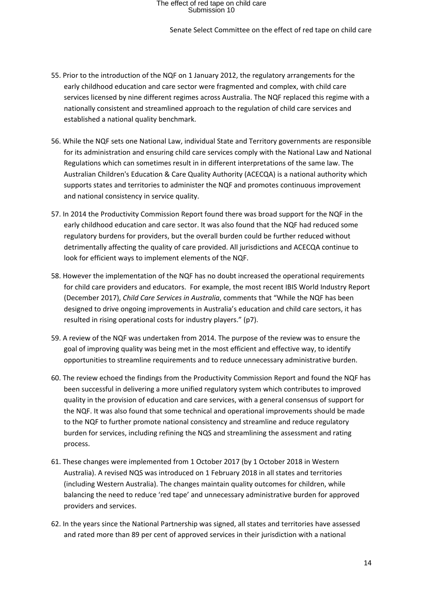Senate Select Committee on the effect of red tape on child care

- 55. Prior to the introduction of the NQF on 1 January 2012, the regulatory arrangements for the early childhood education and care sector were fragmented and complex, with child care services licensed by nine different regimes across Australia. The NQF replaced this regime with a nationally consistent and streamlined approach to the regulation of child care services and established a national quality benchmark.
- 56. While the NQF sets one National Law, individual State and Territory governments are responsible for its administration and ensuring child care services comply with the National Law and National Regulations which can sometimes result in in different interpretations of the same law. The Australian Children's Education & Care Quality Authority (ACECQA) is a national authority which supports states and territories to administer the NQF and promotes continuous improvement and national consistency in service quality.
- 57. In 2014 the Productivity Commission Report found there was broad support for the NQF in the early childhood education and care sector. It was also found that the NQF had reduced some regulatory burdens for providers, but the overall burden could be further reduced without detrimentally affecting the quality of care provided. All jurisdictions and ACECQA continue to look for efficient ways to implement elements of the NQF.
- 58. However the implementation of the NQF has no doubt increased the operational requirements for child care providers and educators. For example, the most recent IBIS World Industry Report (December 2017), *Child Care Services in Australia*, comments that "While the NQF has been designed to drive ongoing improvements in Australia's education and child care sectors, it has resulted in rising operational costs for industry players." (p7).
- 59. A review of the NQF was undertaken from 2014. The purpose of the review was to ensure the goal of improving quality was being met in the most efficient and effective way, to identify opportunities to streamline requirements and to reduce unnecessary administrative burden.
- 60. The review echoed the findings from the Productivity Commission Report and found the NQF has been successful in delivering a more unified regulatory system which contributes to improved quality in the provision of education and care services, with a general consensus of support for the NQF. It was also found that some technical and operational improvements should be made to the NQF to further promote national consistency and streamline and reduce regulatory burden for services, including refining the NQS and streamlining the assessment and rating process.
- 61. These changes were implemented from 1 October 2017 (by 1 October 2018 in Western Australia). A revised NQS was introduced on 1 February 2018 in all states and territories (including Western Australia). The changes maintain quality outcomes for children, while balancing the need to reduce 'red tape' and unnecessary administrative burden for approved providers and services.
- 62. In the years since the National Partnership was signed, all states and territories have assessed and rated more than 89 per cent of approved services in their jurisdiction with a national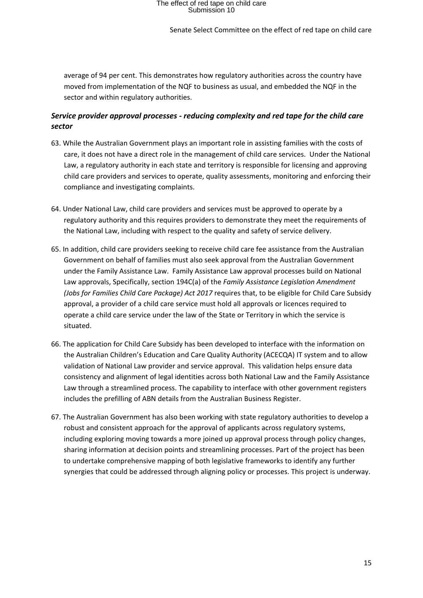#### Senate Select Committee on the effect of red tape on child care

average of 94 per cent. This demonstrates how regulatory authorities across the country have moved from implementation of the NQF to business as usual, and embedded the NQF in the sector and within regulatory authorities.

#### *Service provider approval processes - reducing complexity and red tape for the child care sector*

- 63. While the Australian Government plays an important role in assisting families with the costs of care, it does not have a direct role in the management of child care services. Under the National Law, a regulatory authority in each state and territory is responsible for licensing and approving child care providers and services to operate, quality assessments, monitoring and enforcing their compliance and investigating complaints.
- 64. Under National Law, child care providers and services must be approved to operate by a regulatory authority and this requires providers to demonstrate they meet the requirements of the National Law, including with respect to the quality and safety of service delivery.
- 65. In addition, child care providers seeking to receive child care fee assistance from the Australian Government on behalf of families must also seek approval from the Australian Government under the Family Assistance Law. Family Assistance Law approval processes build on National Law approvals, Specifically, section 194C(a) of the *Family Assistance Legislation Amendment (Jobs for Families Child Care Package) Act 2017* requires that, to be eligible for Child Care Subsidy approval, a provider of a child care service must hold all approvals or licences required to operate a child care service under the law of the State or Territory in which the service is situated.
- 66. The application for Child Care Subsidy has been developed to interface with the information on the Australian Children's Education and Care Quality Authority (ACECQA) IT system and to allow validation of National Law provider and service approval. This validation helps ensure data consistency and alignment of legal identities across both National Law and the Family Assistance Law through a streamlined process. The capability to interface with other government registers includes the prefilling of ABN details from the Australian Business Register.
- 67. The Australian Government has also been working with state regulatory authorities to develop a robust and consistent approach for the approval of applicants across regulatory systems, including exploring moving towards a more joined up approval process through policy changes, sharing information at decision points and streamlining processes. Part of the project has been to undertake comprehensive mapping of both legislative frameworks to identify any further synergies that could be addressed through aligning policy or processes. This project is underway.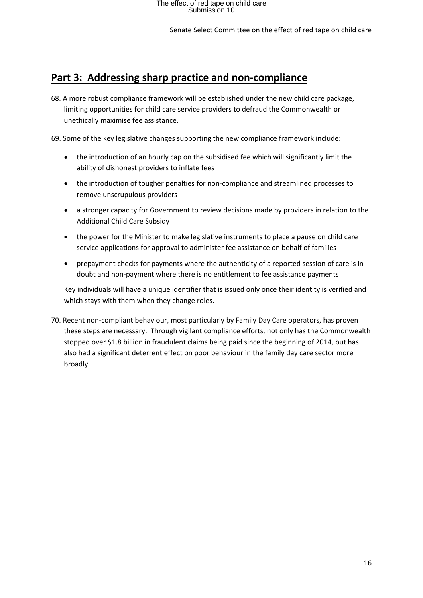### **Part 3: Addressing sharp practice and non-compliance**

68. A more robust compliance framework will be established under the new child care package, limiting opportunities for child care service providers to defraud the Commonwealth or unethically maximise fee assistance.

69. Some of the key legislative changes supporting the new compliance framework include:

- the introduction of an hourly cap on the subsidised fee which will significantly limit the ability of dishonest providers to inflate fees
- the introduction of tougher penalties for non-compliance and streamlined processes to remove unscrupulous providers
- a stronger capacity for Government to review decisions made by providers in relation to the Additional Child Care Subsidy
- the power for the Minister to make legislative instruments to place a pause on child care service applications for approval to administer fee assistance on behalf of families
- prepayment checks for payments where the authenticity of a reported session of care is in doubt and non-payment where there is no entitlement to fee assistance payments

Key individuals will have a unique identifier that is issued only once their identity is verified and which stays with them when they change roles.

70. Recent non-compliant behaviour, most particularly by Family Day Care operators, has proven these steps are necessary. Through vigilant compliance efforts, not only has the Commonwealth stopped over \$1.8 billion in fraudulent claims being paid since the beginning of 2014, but has also had a significant deterrent effect on poor behaviour in the family day care sector more broadly.